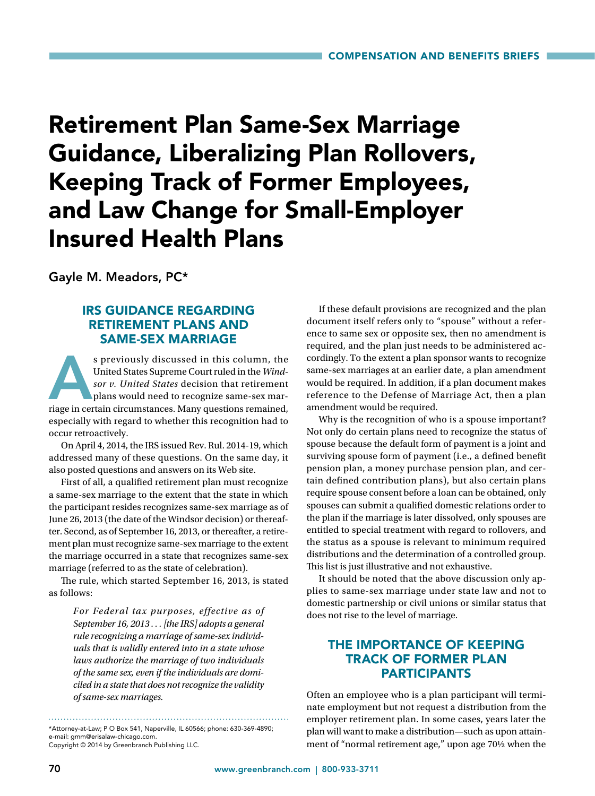# Retirement Plan Same-Sex Marriage Guidance, Liberalizing Plan Rollovers, Keeping Track of Former Employees, and Law Change for Small-Employer Insured Health Plans

Gayle M. Meadors, PC\*

## IRS GUIDANCE REGARDING RETIREMENT PLANS AND SAME-SEX MARRIAGE

s previously discussed in this column, the United States Supreme Court ruled in the Windsor v. United States decision that retirement plans would need to recognize same-sex marriage in certain circumstances. Many questions United States Supreme Court ruled in the *Windsor v. United States* decision that retirement plans would need to recognize same-sex marespecially with regard to whether this recognition had to occur retroactively.

On April 4, 2014, the IRS issued Rev. Rul. 2014-19, which addressed many of these questions. On the same day, it also posted questions and answers on its Web site.

First of all, a qualified retirement plan must recognize a same-sex marriage to the extent that the state in which the participant resides recognizes same-sex marriage as of June 26, 2013 (the date of the Windsor decision) or thereafter. Second, as of September 16, 2013, or thereafter, a retirement plan must recognize same-sex marriage to the extent the marriage occurred in a state that recognizes same-sex marriage (referred to as the state of celebration).

The rule, which started September 16, 2013, is stated as follows:

> *For Federal tax purposes, effective as of September 16, 2013 . . . [the IRS] adopts a general rule recognizing a marriage of same-sex individuals that is validly entered into in a state whose laws authorize the marriage of two individuals of the same sex, even if the individuals are domiciled in a state that does not recognize the validity of same-sex marriages.*

\*Attorney-at-Law; P O Box 541, Naperville, IL 60566; phone: 630-369-4890; e-mail: gmm@erisalaw-chicago.com.

Copyright © 2014 by Greenbranch Publishing LLC.

If these default provisions are recognized and the plan document itself refers only to "spouse" without a reference to same sex or opposite sex, then no amendment is required, and the plan just needs to be administered accordingly. To the extent a plan sponsor wants to recognize same-sex marriages at an earlier date, a plan amendment would be required. In addition, if a plan document makes reference to the Defense of Marriage Act, then a plan amendment would be required.

Why is the recognition of who is a spouse important? Not only do certain plans need to recognize the status of spouse because the default form of payment is a joint and surviving spouse form of payment (i.e., a defined benefit pension plan, a money purchase pension plan, and certain defined contribution plans), but also certain plans require spouse consent before a loan can be obtained, only spouses can submit a qualified domestic relations order to the plan if the marriage is later dissolved, only spouses are entitled to special treatment with regard to rollovers, and the status as a spouse is relevant to minimum required distributions and the determination of a controlled group. This list is just illustrative and not exhaustive.

It should be noted that the above discussion only applies to same-sex marriage under state law and not to domestic partnership or civil unions or similar status that does not rise to the level of marriage.

# THE IMPORTANCE OF KEEPING TRACK OF FORMER PLAN PARTICIPANTS

Often an employee who is a plan participant will terminate employment but not request a distribution from the employer retirement plan. In some cases, years later the plan will want to make a distribution—such as upon attainment of "normal retirement age," upon age 70½ when the